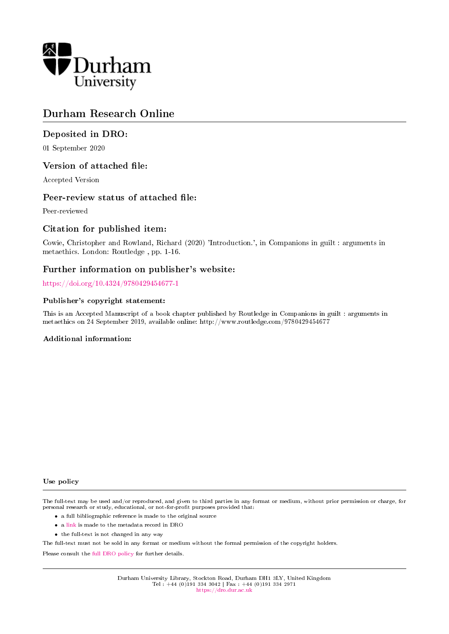

# Durham Research Online

# Deposited in DRO:

01 September 2020

# Version of attached file:

Accepted Version

### Peer-review status of attached file:

Peer-reviewed

# Citation for published item:

Cowie, Christopher and Rowland, Richard (2020) 'Introduction.', in Companions in guilt : arguments in metaethics. London: Routledge , pp. 1-16.

# Further information on publisher's website:

<https://doi.org/10.4324/9780429454677-1>

#### Publisher's copyright statement:

This is an Accepted Manuscript of a book chapter published by Routledge in Companions in guilt : arguments in metaethics on 24 September 2019, available online: http://www.routledge.com/9780429454677

#### Additional information:

#### Use policy

The full-text may be used and/or reproduced, and given to third parties in any format or medium, without prior permission or charge, for personal research or study, educational, or not-for-profit purposes provided that:

- a full bibliographic reference is made to the original source
- a [link](http://dro.dur.ac.uk/31615/) is made to the metadata record in DRO
- the full-text is not changed in any way

The full-text must not be sold in any format or medium without the formal permission of the copyright holders.

Please consult the [full DRO policy](https://dro.dur.ac.uk/policies/usepolicy.pdf) for further details.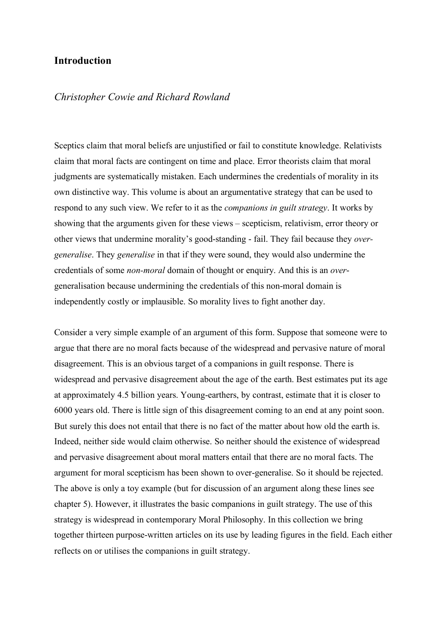# **Introduction**

# *Christopher Cowie and Richard Rowland*

Sceptics claim that moral beliefs are unjustified or fail to constitute knowledge. Relativists claim that moral facts are contingent on time and place. Error theorists claim that moral judgments are systematically mistaken. Each undermines the credentials of morality in its own distinctive way. This volume is about an argumentative strategy that can be used to respond to any such view. We refer to it as the *companions in guilt strategy*. It works by showing that the arguments given for these views – scepticism, relativism, error theory or other views that undermine morality's good-standing - fail. They fail because they *overgeneralise*. They *generalise* in that if they were sound, they would also undermine the credentials of some *non-moral* domain of thought or enquiry. And this is an *over*generalisation because undermining the credentials of this non-moral domain is independently costly or implausible. So morality lives to fight another day.

Consider a very simple example of an argument of this form. Suppose that someone were to argue that there are no moral facts because of the widespread and pervasive nature of moral disagreement. This is an obvious target of a companions in guilt response. There is widespread and pervasive disagreement about the age of the earth. Best estimates put its age at approximately 4.5 billion years. Young-earthers, by contrast, estimate that it is closer to 6000 years old. There is little sign of this disagreement coming to an end at any point soon. But surely this does not entail that there is no fact of the matter about how old the earth is. Indeed, neither side would claim otherwise. So neither should the existence of widespread and pervasive disagreement about moral matters entail that there are no moral facts. The argument for moral scepticism has been shown to over-generalise. So it should be rejected. The above is only a toy example (but for discussion of an argument along these lines see chapter 5). However, it illustrates the basic companions in guilt strategy. The use of this strategy is widespread in contemporary Moral Philosophy. In this collection we bring together thirteen purpose-written articles on its use by leading figures in the field. Each either reflects on or utilises the companions in guilt strategy.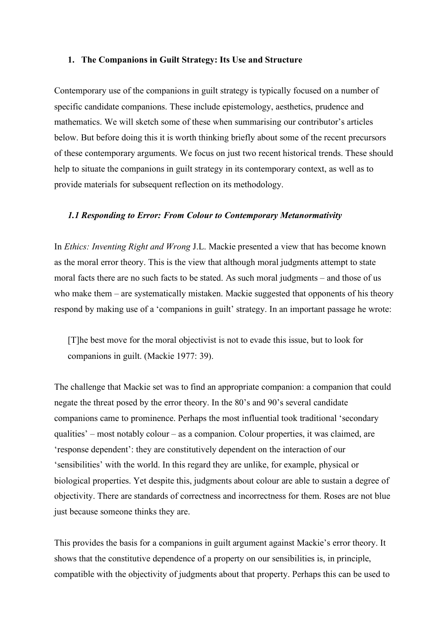#### **1. The Companions in Guilt Strategy: Its Use and Structure**

Contemporary use of the companions in guilt strategy is typically focused on a number of specific candidate companions. These include epistemology, aesthetics, prudence and mathematics. We will sketch some of these when summarising our contributor's articles below. But before doing this it is worth thinking briefly about some of the recent precursors of these contemporary arguments. We focus on just two recent historical trends. These should help to situate the companions in guilt strategy in its contemporary context, as well as to provide materials for subsequent reflection on its methodology.

#### *1.1 Responding to Error: From Colour to Contemporary Metanormativity*

In *Ethics: Inventing Right and Wrong* J.L. Mackie presented a view that has become known as the moral error theory. This is the view that although moral judgments attempt to state moral facts there are no such facts to be stated. As such moral judgments – and those of us who make them – are systematically mistaken. Mackie suggested that opponents of his theory respond by making use of a 'companions in guilt' strategy. In an important passage he wrote:

[T]he best move for the moral objectivist is not to evade this issue, but to look for companions in guilt. (Mackie 1977: 39).

The challenge that Mackie set was to find an appropriate companion: a companion that could negate the threat posed by the error theory. In the 80's and 90's several candidate companions came to prominence. Perhaps the most influential took traditional 'secondary qualities' – most notably colour – as a companion. Colour properties, it was claimed, are 'response dependent': they are constitutively dependent on the interaction of our 'sensibilities' with the world. In this regard they are unlike, for example, physical or biological properties. Yet despite this, judgments about colour are able to sustain a degree of objectivity. There are standards of correctness and incorrectness for them. Roses are not blue just because someone thinks they are.

This provides the basis for a companions in guilt argument against Mackie's error theory. It shows that the constitutive dependence of a property on our sensibilities is, in principle, compatible with the objectivity of judgments about that property. Perhaps this can be used to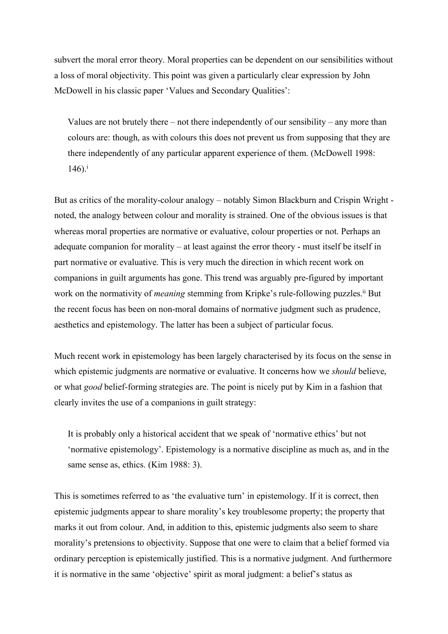subvert the moral error theory. Moral properties can be dependent on our sensibilities without a loss of moral objectivity. This point was given a particularly clear expression by John McDowell in his classic paper 'Values and Secondary Qualities':

Values are not brutely there – not there independently of our sensibility – any more than colours are: though, as with colours this does not prevent us from supposing that they are there independently of any particular apparent experience of them. (McDowell 1998:  $146$ ) $^{i}$ 

But as critics of the morality-colour analogy – notably Simon Blackburn and Crispin Wright noted, the analogy between colour and morality is strained. One of the obvious issues is that whereas moral properties are normative or evaluative, colour properties or not. Perhaps an adequate companion for morality – at least against the error theory - must itself be itself in part normative or evaluative. This is very much the direction in which recent work on companions in guilt arguments has gone. This trend was arguably pre-figured by important work on the normativity of *meaning* stemming from Kripke's rule-following puzzles.<sup>ii</sup> But the recent focus has been on non-moral domains of normative judgment such as prudence, aesthetics and epistemology. The latter has been a subject of particular focus.

Much recent work in epistemology has been largely characterised by its focus on the sense in which epistemic judgments are normative or evaluative. It concerns how we *should* believe, or what *good* belief-forming strategies are. The point is nicely put by Kim in a fashion that clearly invites the use of a companions in guilt strategy:

It is probably only a historical accident that we speak of 'normative ethics' but not 'normative epistemology'. Epistemology is a normative discipline as much as, and in the same sense as, ethics. (Kim 1988: 3).

This is sometimes referred to as 'the evaluative turn' in epistemology. If it is correct, then epistemic judgments appear to share morality's key troublesome property; the property that marks it out from colour. And, in addition to this, epistemic judgments also seem to share morality's pretensions to objectivity. Suppose that one were to claim that a belief formed via ordinary perception is epistemically justified. This is a normative judgment. And furthermore it is normative in the same 'objective' spirit as moral judgment: a belief's status as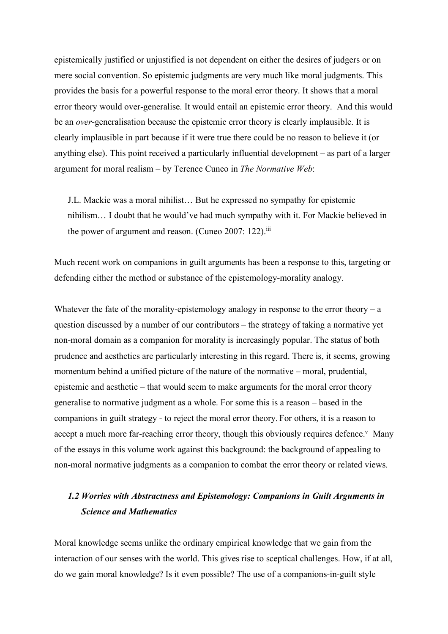epistemically justified or unjustified is not dependent on either the desires of judgers or on mere social convention. So epistemic judgments are very much like moral judgments. This provides the basis for a powerful response to the moral error theory. It shows that a moral error theory would over-generalise. It would entail an epistemic error theory. And this would be an *over*-generalisation because the epistemic error theory is clearly implausible. It is clearly implausible in part because if it were true there could be no reason to believe it (or anything else). This point received a particularly influential development – as part of a larger argument for moral realism – by Terence Cuneo in *The Normative Web*:

J.L. Mackie was a moral nihilist… But he expressed no sympathy for epistemic nihilism… I doubt that he would've had much sympathy with it. For Mackie believed in the power of argument and reason. (Cuneo 2007: 122).<sup>iii</sup>

Much recent work on companions in guilt arguments has been a response to this, targeting or defending either the method or substance of the epistemology-morality analogy.

Whatever the fate of the morality-epistemology analogy in response to the error theory – a question discussed by a number of our contributors – the strategy of taking a normative yet non-moral domain as a companion for morality is increasingly popular. The status of both prudence and aesthetics are particularly interesting in this regard. There is, it seems, growing momentum behind a unified picture of the nature of the normative – moral, prudential, epistemic and aesthetic – that would seem to make arguments for the moral error theory generalise to normative judgment as a whole. For some this is a reason – based in the companions in guilt strategy - to reject the moral error theory. For others, it is a reason to accept a much more far-reaching error theory, though this obviously requires defence.<sup>v</sup> Many of the essays in this volume work against this background: the background of appealing to non-moral normative judgments as a companion to combat the error theory or related views.

# *1.2 Worries with Abstractness and Epistemology: Companions in Guilt Arguments in Science and Mathematics*

Moral knowledge seems unlike the ordinary empirical knowledge that we gain from the interaction of our senses with the world. This gives rise to sceptical challenges. How, if at all, do we gain moral knowledge? Is it even possible? The use of a companions-in-guilt style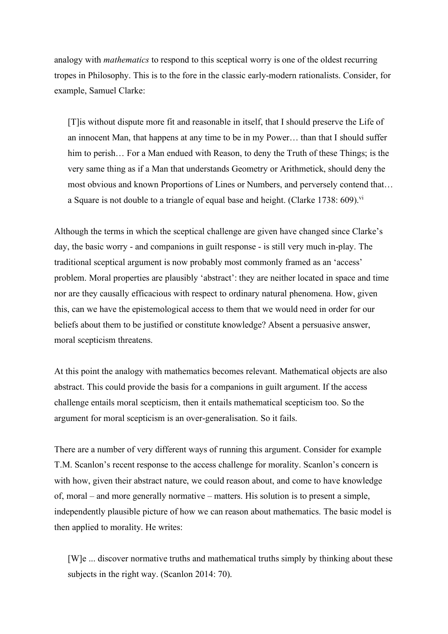analogy with *mathematics* to respond to this sceptical worry is one of the oldest recurring tropes in Philosophy. This is to the fore in the classic early-modern rationalists. Consider, for example, Samuel Clarke:

[T]is without dispute more fit and reasonable in itself, that I should preserve the Life of an innocent Man, that happens at any time to be in my Power… than that I should suffer him to perish... For a Man endued with Reason, to deny the Truth of these Things; is the very same thing as if a Man that understands Geometry or Arithmetick, should deny the most obvious and known Proportions of Lines or Numbers, and perversely contend that… a Square is not double to a triangle of equal base and height. (Clarke 1738:  $609$ ).<sup>vi</sup>

Although the terms in which the sceptical challenge are given have changed since Clarke's day, the basic worry - and companions in guilt response - is still very much in-play. The traditional sceptical argument is now probably most commonly framed as an 'access' problem. Moral properties are plausibly 'abstract': they are neither located in space and time nor are they causally efficacious with respect to ordinary natural phenomena. How, given this, can we have the epistemological access to them that we would need in order for our beliefs about them to be justified or constitute knowledge? Absent a persuasive answer, moral scepticism threatens.

At this point the analogy with mathematics becomes relevant. Mathematical objects are also abstract. This could provide the basis for a companions in guilt argument. If the access challenge entails moral scepticism, then it entails mathematical scepticism too. So the argument for moral scepticism is an over-generalisation. So it fails.

There are a number of very different ways of running this argument. Consider for example T.M. Scanlon's recent response to the access challenge for morality. Scanlon's concern is with how, given their abstract nature, we could reason about, and come to have knowledge of, moral – and more generally normative – matters. His solution is to present a simple, independently plausible picture of how we can reason about mathematics. The basic model is then applied to morality. He writes:

[W]e ... discover normative truths and mathematical truths simply by thinking about these subjects in the right way. (Scanlon 2014: 70).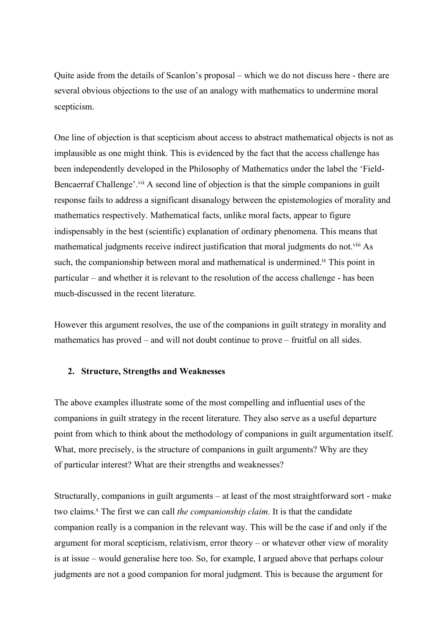Quite aside from the details of Scanlon's proposal – which we do not discuss here - there are several obvious objections to the use of an analogy with mathematics to undermine moral scepticism.

One line of objection is that scepticism about access to abstract mathematical objects is not as implausible as one might think. This is evidenced by the fact that the access challenge has been independently developed in the Philosophy of Mathematics under the label the 'Field-Bencaerraf Challenge'. vii A second line of objection is that the simple companions in guilt response fails to address a significant disanalogy between the epistemologies of morality and mathematics respectively. Mathematical facts, unlike moral facts, appear to figure indispensably in the best (scientific) explanation of ordinary phenomena. This means that mathematical judgments receive indirect justification that moral judgments do not.<sup>viii</sup> As such, the companionship between moral and mathematical is undermined.<sup>ix</sup> This point in particular – and whether it is relevant to the resolution of the access challenge - has been much-discussed in the recent literature.

However this argument resolves, the use of the companions in guilt strategy in morality and mathematics has proved – and will not doubt continue to prove – fruitful on all sides.

# **2. Structure, Strengths and Weaknesses**

The above examples illustrate some of the most compelling and influential uses of the companions in guilt strategy in the recent literature. They also serve as a useful departure point from which to think about the methodology of companions in guilt argumentation itself. What, more precisely, is the structure of companions in guilt arguments? Why are they of particular interest? What are their strengths and weaknesses?

Structurally, companions in guilt arguments – at least of the most straightforward sort - make two claims.<sup>x</sup> The first we can call *the companionship claim*. It is that the candidate companion really is a companion in the relevant way. This will be the case if and only if the argument for moral scepticism, relativism, error theory – or whatever other view of morality is at issue – would generalise here too. So, for example, I argued above that perhaps colour judgments are not a good companion for moral judgment. This is because the argument for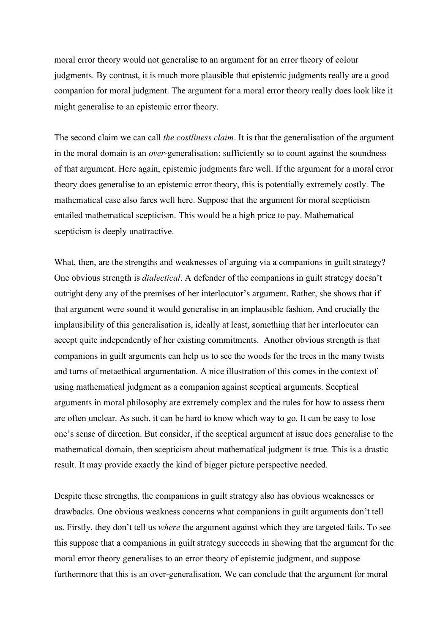moral error theory would not generalise to an argument for an error theory of colour judgments. By contrast, it is much more plausible that epistemic judgments really are a good companion for moral judgment. The argument for a moral error theory really does look like it might generalise to an epistemic error theory.

The second claim we can call *the costliness claim*. It is that the generalisation of the argument in the moral domain is an *over*-generalisation: sufficiently so to count against the soundness of that argument. Here again, epistemic judgments fare well. If the argument for a moral error theory does generalise to an epistemic error theory, this is potentially extremely costly. The mathematical case also fares well here. Suppose that the argument for moral scepticism entailed mathematical scepticism. This would be a high price to pay. Mathematical scepticism is deeply unattractive.

What, then, are the strengths and weaknesses of arguing via a companions in guilt strategy? One obvious strength is *dialectical*. A defender of the companions in guilt strategy doesn't outright deny any of the premises of her interlocutor's argument. Rather, she shows that if that argument were sound it would generalise in an implausible fashion. And crucially the implausibility of this generalisation is, ideally at least, something that her interlocutor can accept quite independently of her existing commitments. Another obvious strength is that companions in guilt arguments can help us to see the woods for the trees in the many twists and turns of metaethical argumentation. A nice illustration of this comes in the context of using mathematical judgment as a companion against sceptical arguments. Sceptical arguments in moral philosophy are extremely complex and the rules for how to assess them are often unclear. As such, it can be hard to know which way to go. It can be easy to lose one's sense of direction. But consider, if the sceptical argument at issue does generalise to the mathematical domain, then scepticism about mathematical judgment is true. This is a drastic result. It may provide exactly the kind of bigger picture perspective needed.

Despite these strengths, the companions in guilt strategy also has obvious weaknesses or drawbacks. One obvious weakness concerns what companions in guilt arguments don't tell us. Firstly, they don't tell us *where* the argument against which they are targeted fails. To see this suppose that a companions in guilt strategy succeeds in showing that the argument for the moral error theory generalises to an error theory of epistemic judgment, and suppose furthermore that this is an over-generalisation. We can conclude that the argument for moral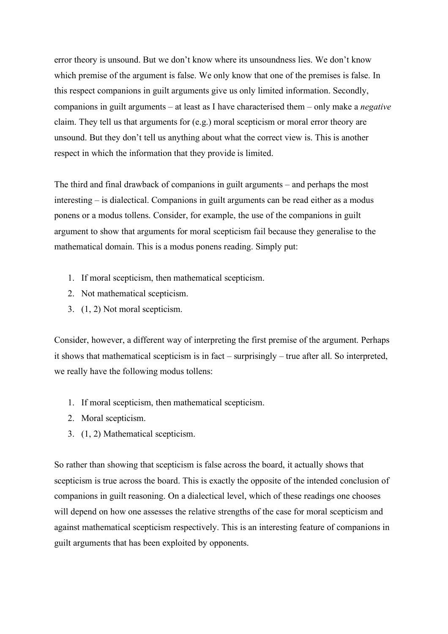error theory is unsound. But we don't know where its unsoundness lies. We don't know which premise of the argument is false. We only know that one of the premises is false. In this respect companions in guilt arguments give us only limited information. Secondly, companions in guilt arguments – at least as I have characterised them – only make a *negative* claim. They tell us that arguments for (e.g.) moral scepticism or moral error theory are unsound. But they don't tell us anything about what the correct view is. This is another respect in which the information that they provide is limited.

The third and final drawback of companions in guilt arguments – and perhaps the most interesting – is dialectical. Companions in guilt arguments can be read either as a modus ponens or a modus tollens. Consider, for example, the use of the companions in guilt argument to show that arguments for moral scepticism fail because they generalise to the mathematical domain. This is a modus ponens reading. Simply put:

- 1. If moral scepticism, then mathematical scepticism.
- 2. Not mathematical scepticism.
- 3. (1, 2) Not moral scepticism.

Consider, however, a different way of interpreting the first premise of the argument. Perhaps it shows that mathematical scepticism is in fact – surprisingly – true after all. So interpreted, we really have the following modus tollens:

- 1. If moral scepticism, then mathematical scepticism.
- 2. Moral scepticism.
- 3. (1, 2) Mathematical scepticism.

So rather than showing that scepticism is false across the board, it actually shows that scepticism is true across the board. This is exactly the opposite of the intended conclusion of companions in guilt reasoning. On a dialectical level, which of these readings one chooses will depend on how one assesses the relative strengths of the case for moral scepticism and against mathematical scepticism respectively. This is an interesting feature of companions in guilt arguments that has been exploited by opponents.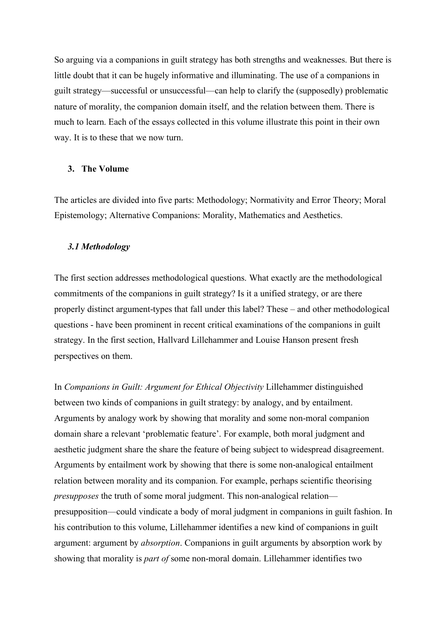So arguing via a companions in guilt strategy has both strengths and weaknesses. But there is little doubt that it can be hugely informative and illuminating. The use of a companions in guilt strategy—successful or unsuccessful—can help to clarify the (supposedly) problematic nature of morality, the companion domain itself, and the relation between them. There is much to learn. Each of the essays collected in this volume illustrate this point in their own way. It is to these that we now turn.

## **3. The Volume**

The articles are divided into five parts: Methodology; Normativity and Error Theory; Moral Epistemology; Alternative Companions: Morality, Mathematics and Aesthetics.

#### *3.1 Methodology*

The first section addresses methodological questions. What exactly are the methodological commitments of the companions in guilt strategy? Is it a unified strategy, or are there properly distinct argument-types that fall under this label? These – and other methodological questions - have been prominent in recent critical examinations of the companions in guilt strategy. In the first section, Hallvard Lillehammer and Louise Hanson present fresh perspectives on them.

In *Companions in Guilt: Argument for Ethical Objectivity* Lillehammer distinguished between two kinds of companions in guilt strategy: by analogy, and by entailment. Arguments by analogy work by showing that morality and some non-moral companion domain share a relevant 'problematic feature'. For example, both moral judgment and aesthetic judgment share the share the feature of being subject to widespread disagreement. Arguments by entailment work by showing that there is some non-analogical entailment relation between morality and its companion. For example, perhaps scientific theorising *presupposes* the truth of some moral judgment. This non-analogical relation presupposition—could vindicate a body of moral judgment in companions in guilt fashion. In his contribution to this volume, Lillehammer identifies a new kind of companions in guilt argument: argument by *absorption*. Companions in guilt arguments by absorption work by showing that morality is *part of* some non-moral domain. Lillehammer identifies two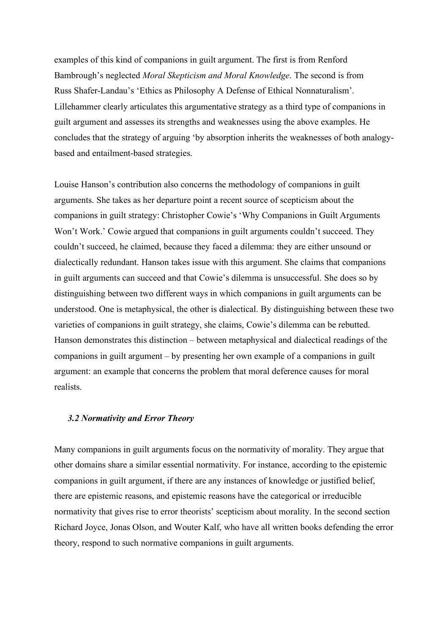examples of this kind of companions in guilt argument. The first is from Renford Bambrough's neglected *Moral Skepticism and Moral Knowledge*. The second is from Russ Shafer-Landau's 'Ethics as Philosophy A Defense of Ethical Nonnaturalism'. Lillehammer clearly articulates this argumentative strategy as a third type of companions in guilt argument and assesses its strengths and weaknesses using the above examples. He concludes that the strategy of arguing 'by absorption inherits the weaknesses of both analogybased and entailment-based strategies.

Louise Hanson's contribution also concerns the methodology of companions in guilt arguments. She takes as her departure point a recent source of scepticism about the companions in guilt strategy: Christopher Cowie's 'Why Companions in Guilt Arguments Won't Work.' Cowie argued that companions in guilt arguments couldn't succeed. They couldn't succeed, he claimed, because they faced a dilemma: they are either unsound or dialectically redundant. Hanson takes issue with this argument. She claims that companions in guilt arguments can succeed and that Cowie's dilemma is unsuccessful. She does so by distinguishing between two different ways in which companions in guilt arguments can be understood. One is metaphysical, the other is dialectical. By distinguishing between these two varieties of companions in guilt strategy, she claims, Cowie's dilemma can be rebutted. Hanson demonstrates this distinction – between metaphysical and dialectical readings of the companions in guilt argument – by presenting her own example of a companions in guilt argument: an example that concerns the problem that moral deference causes for moral realists.

#### *3.2 Normativity and Error Theory*

Many companions in guilt arguments focus on the normativity of morality. They argue that other domains share a similar essential normativity. For instance, according to the epistemic companions in guilt argument, if there are any instances of knowledge or justified belief, there are epistemic reasons, and epistemic reasons have the categorical or irreducible normativity that gives rise to error theorists' scepticism about morality. In the second section Richard Joyce, Jonas Olson, and Wouter Kalf, who have all written books defending the error theory, respond to such normative companions in guilt arguments.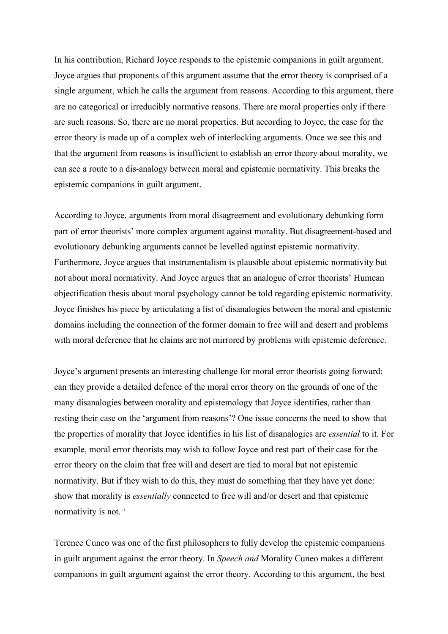In his contribution, Richard Joyce responds to the epistemic companions in guilt argument. Joyce argues that proponents of this argument assume that the error theory is comprised of a single argument, which he calls the argument from reasons. According to this argument, there are no categorical or irreducibly normative reasons. There are moral properties only if there are such reasons. So, there are no moral properties. But according to Joyce, the case for the error theory is made up of a complex web of interlocking arguments. Once we see this and that the argument from reasons is insufficient to establish an error theory about morality, we can see a route to a dis-analogy between moral and epistemic normativity. This breaks the epistemic companions in guilt argument.

According to Joyce, arguments from moral disagreement and evolutionary debunking form part of error theorists' more complex argument against morality. But disagreement-based and evolutionary debunking arguments cannot be levelled against epistemic normativity. Furthermore, Joyce argues that instrumentalism is plausible about epistemic normativity but not about moral normativity. And Joyce argues that an analogue of error theorists' Humean objectification thesis about moral psychology cannot be told regarding epistemic normativity. Joyce finishes his piece by articulating a list of disanalogies between the moral and epistemic domains including the connection of the former domain to free will and desert and problems with moral deference that he claims are not mirrored by problems with epistemic deference.

Joyce's argument presents an interesting challenge for moral error theorists going forward: can they provide a detailed defence of the moral error theory on the grounds of one of the many disanalogies between morality and epistemology that Joyce identifies, rather than resting their case on the 'argument from reasons'? One issue concerns the need to show that the properties of morality that Joyce identifies in his list of disanalogies are *essential* to it. For example, moral error theorists may wish to follow Joyce and rest part of their case for the error theory on the claim that free will and desert are tied to moral but not epistemic normativity. But if they wish to do this, they must do something that they have yet done: show that morality is *essentially* connected to free will and/or desert and that epistemic normativity is not. '

Terence Cuneo was one of the first philosophers to fully develop the epistemic companions in guilt argument against the error theory. In *Speech and* Morality Cuneo makes a different companions in guilt argument against the error theory. According to this argument, the best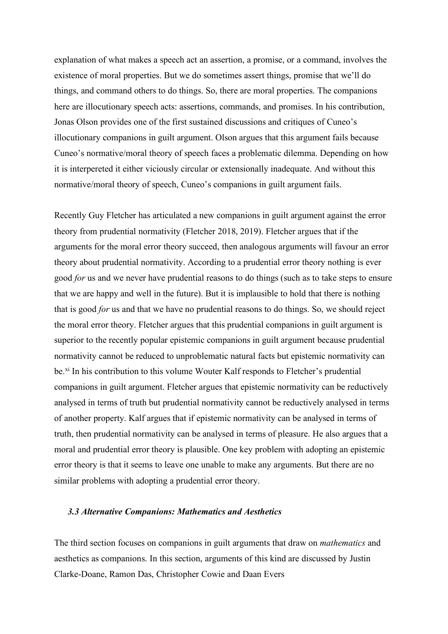explanation of what makes a speech act an assertion, a promise, or a command, involves the existence of moral properties. But we do sometimes assert things, promise that we'll do things, and command others to do things. So, there are moral properties. The companions here are illocutionary speech acts: assertions, commands, and promises. In his contribution, Jonas Olson provides one of the first sustained discussions and critiques of Cuneo's illocutionary companions in guilt argument. Olson argues that this argument fails because Cuneo's normative/moral theory of speech faces a problematic dilemma. Depending on how it is interpereted it either viciously circular or extensionally inadequate. And without this normative/moral theory of speech, Cuneo's companions in guilt argument fails.

Recently Guy Fletcher has articulated a new companions in guilt argument against the error theory from prudential normativity (Fletcher 2018, 2019). Fletcher argues that if the arguments for the moral error theory succeed, then analogous arguments will favour an error theory about prudential normativity. According to a prudential error theory nothing is ever good *for* us and we never have prudential reasons to do things (such as to take steps to ensure that we are happy and well in the future). But it is implausible to hold that there is nothing that is good *for* us and that we have no prudential reasons to do things. So, we should reject the moral error theory. Fletcher argues that this prudential companions in guilt argument is superior to the recently popular epistemic companions in guilt argument because prudential normativity cannot be reduced to unproblematic natural facts but epistemic normativity can be.<sup>xi</sup> In his contribution to this volume Wouter Kalf responds to Fletcher's prudential companions in guilt argument. Fletcher argues that epistemic normativity can be reductively analysed in terms of truth but prudential normativity cannot be reductively analysed in terms of another property. Kalf argues that if epistemic normativity can be analysed in terms of truth, then prudential normativity can be analysed in terms of pleasure. He also argues that a moral and prudential error theory is plausible. One key problem with adopting an epistemic error theory is that it seems to leave one unable to make any arguments. But there are no similar problems with adopting a prudential error theory.

#### *3.3 Alternative Companions: Mathematics and Aesthetics*

The third section focuses on companions in guilt arguments that draw on *mathematics* and aesthetics as companions. In this section, arguments of this kind are discussed by Justin Clarke-Doane, Ramon Das, Christopher Cowie and Daan Evers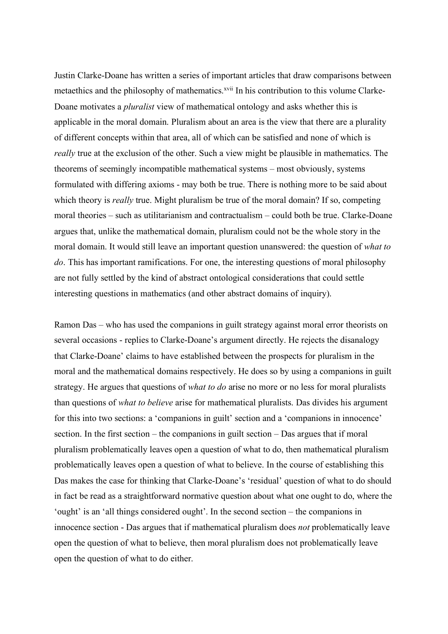Justin Clarke-Doane has written a series of important articles that draw comparisons between metaethics and the philosophy of mathematics.<sup>xvii</sup> In his contribution to this volume Clarke-Doane motivates a *pluralist* view of mathematical ontology and asks whether this is applicable in the moral domain. Pluralism about an area is the view that there are a plurality of different concepts within that area, all of which can be satisfied and none of which is *really* true at the exclusion of the other. Such a view might be plausible in mathematics. The theorems of seemingly incompatible mathematical systems – most obviously, systems formulated with differing axioms - may both be true. There is nothing more to be said about which theory is *really* true. Might pluralism be true of the moral domain? If so, competing moral theories – such as utilitarianism and contractualism – could both be true. Clarke-Doane argues that, unlike the mathematical domain, pluralism could not be the whole story in the moral domain. It would still leave an important question unanswered: the question of *what to do*. This has important ramifications. For one, the interesting questions of moral philosophy are not fully settled by the kind of abstract ontological considerations that could settle interesting questions in mathematics (and other abstract domains of inquiry).

Ramon Das – who has used the companions in guilt strategy against moral error theorists on several occasions - replies to Clarke-Doane's argument directly. He rejects the disanalogy that Clarke-Doane' claims to have established between the prospects for pluralism in the moral and the mathematical domains respectively. He does so by using a companions in guilt strategy. He argues that questions of *what to do* arise no more or no less for moral pluralists than questions of *what to believe* arise for mathematical pluralists. Das divides his argument for this into two sections: a 'companions in guilt' section and a 'companions in innocence' section. In the first section – the companions in guilt section – Das argues that if moral pluralism problematically leaves open a question of what to do, then mathematical pluralism problematically leaves open a question of what to believe. In the course of establishing this Das makes the case for thinking that Clarke-Doane's 'residual' question of what to do should in fact be read as a straightforward normative question about what one ought to do, where the 'ought' is an 'all things considered ought'. In the second section – the companions in innocence section - Das argues that if mathematical pluralism does *not* problematically leave open the question of what to believe, then moral pluralism does not problematically leave open the question of what to do either.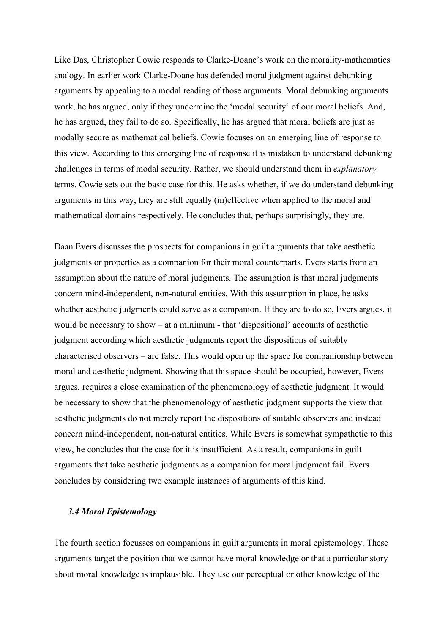Like Das, Christopher Cowie responds to Clarke-Doane's work on the morality-mathematics analogy. In earlier work Clarke-Doane has defended moral judgment against debunking arguments by appealing to a modal reading of those arguments. Moral debunking arguments work, he has argued, only if they undermine the 'modal security' of our moral beliefs. And, he has argued, they fail to do so. Specifically, he has argued that moral beliefs are just as modally secure as mathematical beliefs. Cowie focuses on an emerging line of response to this view. According to this emerging line of response it is mistaken to understand debunking challenges in terms of modal security. Rather, we should understand them in *explanatory* terms. Cowie sets out the basic case for this. He asks whether, if we do understand debunking arguments in this way, they are still equally (in)effective when applied to the moral and mathematical domains respectively. He concludes that, perhaps surprisingly, they are.

Daan Evers discusses the prospects for companions in guilt arguments that take aesthetic judgments or properties as a companion for their moral counterparts. Evers starts from an assumption about the nature of moral judgments. The assumption is that moral judgments concern mind-independent, non-natural entities. With this assumption in place, he asks whether aesthetic judgments could serve as a companion. If they are to do so, Evers argues, it would be necessary to show – at a minimum - that 'dispositional' accounts of aesthetic judgment according which aesthetic judgments report the dispositions of suitably characterised observers – are false. This would open up the space for companionship between moral and aesthetic judgment. Showing that this space should be occupied, however, Evers argues, requires a close examination of the phenomenology of aesthetic judgment. It would be necessary to show that the phenomenology of aesthetic judgment supports the view that aesthetic judgments do not merely report the dispositions of suitable observers and instead concern mind-independent, non-natural entities. While Evers is somewhat sympathetic to this view, he concludes that the case for it is insufficient. As a result, companions in guilt arguments that take aesthetic judgments as a companion for moral judgment fail. Evers concludes by considering two example instances of arguments of this kind.

#### *3.4 Moral Epistemology*

The fourth section focusses on companions in guilt arguments in moral epistemology. These arguments target the position that we cannot have moral knowledge or that a particular story about moral knowledge is implausible. They use our perceptual or other knowledge of the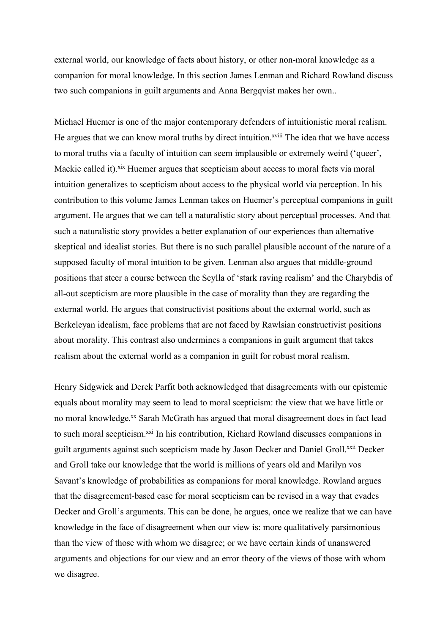external world, our knowledge of facts about history, or other non-moral knowledge as a companion for moral knowledge. In this section James Lenman and Richard Rowland discuss two such companions in guilt arguments and Anna Bergqvist makes her own..

Michael Huemer is one of the major contemporary defenders of intuitionistic moral realism. He argues that we can know moral truths by direct intuition.<sup>xviii</sup> The idea that we have access to moral truths via a faculty of intuition can seem implausible or extremely weird ('queer', Mackie called it).<sup>xix</sup> Huemer argues that scepticism about access to moral facts via moral intuition generalizes to scepticism about access to the physical world via perception. In his contribution to this volume James Lenman takes on Huemer's perceptual companions in guilt argument. He argues that we can tell a naturalistic story about perceptual processes. And that such a naturalistic story provides a better explanation of our experiences than alternative skeptical and idealist stories. But there is no such parallel plausible account of the nature of a supposed faculty of moral intuition to be given. Lenman also argues that middle-ground positions that steer a course between the Scylla of 'stark raving realism' and the Charybdis of all-out scepticism are more plausible in the case of morality than they are regarding the external world. He argues that constructivist positions about the external world, such as Berkeleyan idealism, face problems that are not faced by Rawlsian constructivist positions about morality. This contrast also undermines a companions in guilt argument that takes realism about the external world as a companion in guilt for robust moral realism.

Henry Sidgwick and Derek Parfit both acknowledged that disagreements with our epistemic equals about morality may seem to lead to moral scepticism: the view that we have little or no moral knowledge.<sup>xx</sup> Sarah McGrath has argued that moral disagreement does in fact lead to such moral scepticism.<sup>xxi</sup> In his contribution, Richard Rowland discusses companions in guilt arguments against such scepticism made by Jason Decker and Daniel Groll.xxii Decker and Groll take our knowledge that the world is millions of years old and Marilyn vos Savant's knowledge of probabilities as companions for moral knowledge. Rowland argues that the disagreement-based case for moral scepticism can be revised in a way that evades Decker and Groll's arguments. This can be done, he argues, once we realize that we can have knowledge in the face of disagreement when our view is: more qualitatively parsimonious than the view of those with whom we disagree; or we have certain kinds of unanswered arguments and objections for our view and an error theory of the views of those with whom we disagree.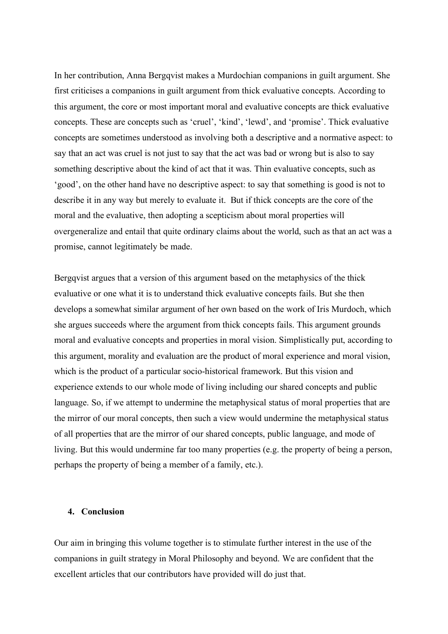In her contribution, Anna Bergqvist makes a Murdochian companions in guilt argument. She first criticises a companions in guilt argument from thick evaluative concepts. According to this argument, the core or most important moral and evaluative concepts are thick evaluative concepts. These are concepts such as 'cruel', 'kind', 'lewd', and 'promise'. Thick evaluative concepts are sometimes understood as involving both a descriptive and a normative aspect: to say that an act was cruel is not just to say that the act was bad or wrong but is also to say something descriptive about the kind of act that it was. Thin evaluative concepts, such as 'good', on the other hand have no descriptive aspect: to say that something is good is not to describe it in any way but merely to evaluate it. But if thick concepts are the core of the moral and the evaluative, then adopting a scepticism about moral properties will overgeneralize and entail that quite ordinary claims about the world, such as that an act was a promise, cannot legitimately be made.

Bergqvist argues that a version of this argument based on the metaphysics of the thick evaluative or one what it is to understand thick evaluative concepts fails. But she then develops a somewhat similar argument of her own based on the work of Iris Murdoch, which she argues succeeds where the argument from thick concepts fails. This argument grounds moral and evaluative concepts and properties in moral vision. Simplistically put, according to this argument, morality and evaluation are the product of moral experience and moral vision, which is the product of a particular socio-historical framework. But this vision and experience extends to our whole mode of living including our shared concepts and public language. So, if we attempt to undermine the metaphysical status of moral properties that are the mirror of our moral concepts, then such a view would undermine the metaphysical status of all properties that are the mirror of our shared concepts, public language, and mode of living. But this would undermine far too many properties (e.g. the property of being a person, perhaps the property of being a member of a family, etc.).

# **4. Conclusion**

Our aim in bringing this volume together is to stimulate further interest in the use of the companions in guilt strategy in Moral Philosophy and beyond. We are confident that the excellent articles that our contributors have provided will do just that.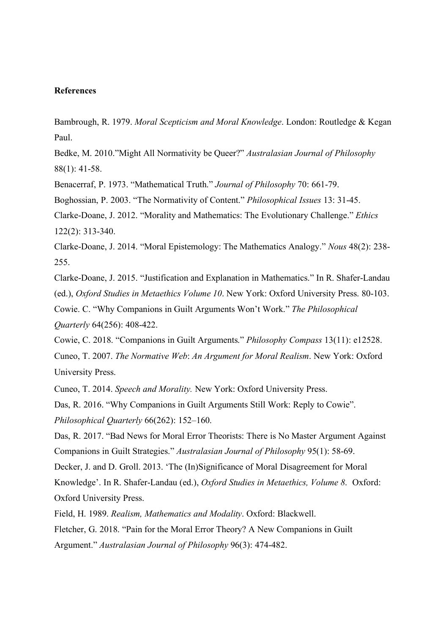### **References**

Bambrough, R. 1979. *Moral Scepticism and Moral Knowledge*. London: Routledge & Kegan Paul.

Bedke, M. 2010."Might All Normativity be Queer?" *Australasian Journal of Philosophy* 88(1): 41-58.

Benacerraf, P. 1973. "Mathematical Truth." *Journal of Philosophy* 70: 661-79.

Boghossian, P. 2003. "The Normativity of Content." *Philosophical Issues* 13: 31-45.

Clarke-Doane, J. 2012. "Morality and Mathematics: The Evolutionary Challenge." *Ethics* 122(2): 313-340.

Clarke-Doane, J. 2014. "Moral Epistemology: The Mathematics Analogy." *Nous* 48(2): 238- 255.

Clarke-Doane, J. 2015. "Justification and Explanation in Mathematics." In R. Shafer-Landau (ed.), *Oxford Studies in Metaethics Volume 10*. New York: Oxford University Press. 80-103.

Cowie. C. "Why Companions in Guilt Arguments Won't Work." *The Philosophical Quarterly* 64(256): 408-422.

Cowie, C. 2018. "Companions in Guilt Arguments." *Philosophy Compass* 13(11): e12528. Cuneo, T. 2007. *The Normative Web*: *An Argument for Moral Realism*. New York: Oxford University Press.

Cuneo, T. 2014. *Speech and Morality.* New York: Oxford University Press.

Das, R. 2016. "Why Companions in Guilt Arguments Still Work: Reply to Cowie". *Philosophical Quarterly* 66(262): 152–160.

Das, R. 2017. "Bad News for Moral Error Theorists: There is No Master Argument Against Companions in Guilt Strategies." *Australasian Journal of Philosophy* 95(1): 58-69.

Decker, J. and D. Groll. 2013. 'The (In)Significance of Moral Disagreement for Moral Knowledge'. In R. Shafer-Landau (ed.), *Oxford Studies in Metaethics, Volume 8*. Oxford: Oxford University Press.

Field, H. 1989. *Realism, Mathematics and Modality*. Oxford: Blackwell.

Fletcher, G. 2018. "Pain for the Moral Error Theory? A New Companions in Guilt Argument." *Australasian Journal of Philosophy* 96(3): 474-482.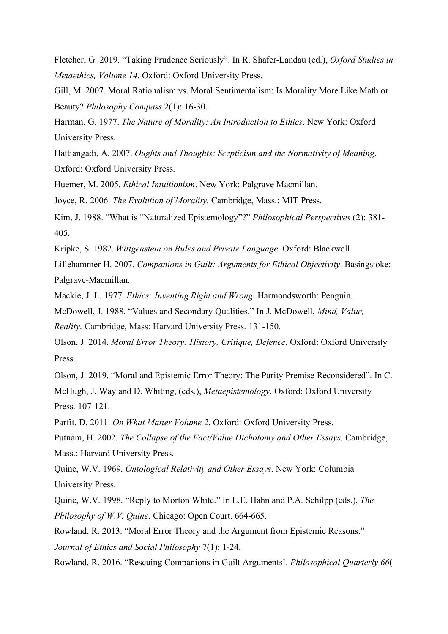Fletcher, G. 2019. "Taking Prudence Seriously". In R. Shafer-Landau (ed.), *Oxford Studies in Metaethics, Volume 14*. Oxford: Oxford University Press.

Gill, M. 2007. Moral Rationalism vs. Moral Sentimentalism: Is Morality More Like Math or Beauty? *Philosophy Compass* 2(1): 16-30.

Harman, G. 1977. *The Nature of Morality: An Introduction to Ethics*. New York: Oxford University Press.

Hattiangadi, A. 2007. *Oughts and Thoughts: Scepticism and the Normativity of Meaning*. Oxford: Oxford University Press.

Huemer, M. 2005. *Ethical Intuitionism*. New York: Palgrave Macmillan.

Joyce, R. 2006. *The Evolution of Morality*. Cambridge, Mass.: MIT Press.

Kim, J. 1988. "What is "Naturalized Epistemology"?" *Philosophical Perspectives* (2): 381- 405.

Kripke, S. 1982. *Wittgenstein on Rules and Private Language*. Oxford: Blackwell.

Lillehammer H. 2007. *Companions in Guilt: Arguments for Ethical Objectivity*. Basingstoke: Palgrave-Macmillan.

Mackie, J. L. 1977. *Ethics: Inventing Right and Wrong*. Harmondsworth: Penguin.

McDowell, J. 1988. "Values and Secondary Qualities." In J. McDowell, *Mind, Value,* 

*Reality*. Cambridge, Mass: Harvard University Press. 131-150.

Olson, J. 2014. *Moral Error Theory: History, Critique, Defence*. Oxford: Oxford University Press.

Olson, J. 2019. "Moral and Epistemic Error Theory: The Parity Premise Reconsidered". In C. McHugh, J. Way and D. Whiting, (eds.), *Metaepistemology*. Oxford: Oxford University Press. 107-121.

Parfit, D. 2011. *On What Matter Volume 2*. Oxford: Oxford University Press.

Putnam, H. 2002. *The Collapse of the Fact/Value Dichotomy and Other Essays*. Cambridge, Mass.: Harvard University Press.

Quine, W.V. 1969. *Ontological Relativity and Other Essays*. New York: Columbia University Press.

Quine, W.V. 1998. "Reply to Morton White." In L.E. Hahn and P.A. Schilpp (eds.), *The Philosophy of W.V. Quine*. Chicago: Open Court. 664-665.

Rowland, R. 2013. "Moral Error Theory and the Argument from Epistemic Reasons." *Journal of Ethics and Social Philosophy* 7(1): 1-24.

Rowland, R. 2016. "Rescuing Companions in Guilt Arguments'. *Philosophical Quarterly 66*(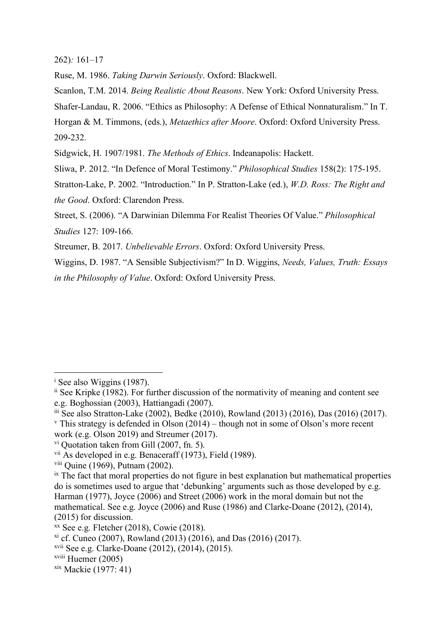262)*:* 161–17

Ruse, M. 1986. *Taking Darwin Seriously*. Oxford: Blackwell.

Scanlon, T.M. 2014. *Being Realistic About Reasons*. New York: Oxford University Press.

Shafer-Landau, R. 2006. "Ethics as Philosophy: A Defense of Ethical Nonnaturalism." In T.

Horgan & M. Timmons, (eds.), *Metaethics after Moore*. Oxford: Oxford University Press. 209-232.

Sidgwick, H. 1907/1981. *The Methods of Ethics*. Indeanapolis: Hackett.

Sliwa, P. 2012. "In Defence of Moral Testimony." *Philosophical Studies* 158(2): 175-195.

Stratton-Lake, P. 2002. "Introduction." In P. Stratton-Lake (ed.), *W.D. Ross: The Right and the Good*. Oxford: Clarendon Press.

Street, S. (2006). "A Darwinian Dilemma For Realist Theories Of Value." *Philosophical Studies* 127: 109-166.

Streumer, B. 2017. *Unbelievable Errors*. Oxford: Oxford University Press.

Wiggins, D. 1987. "A Sensible Subjectivism?" In D. Wiggins, *Needs, Values, Truth: Essays in the Philosophy of Value*. Oxford: Oxford University Press.

 $\overline{a}$ 

<sup>&</sup>lt;sup>i</sup> See also Wiggins (1987).

ii See Kripke (1982). For further discussion of the normativity of meaning and content see e.g. Boghossian (2003), Hattiangadi (2007).

iii See also Stratton-Lake (2002), Bedke (2010), Rowland (2013) (2016), Das (2016) (2017).

 $\overline{v}$ . This strategy is defended in Olson (2014) – though not in some of Olson's more recent

work (e.g. Olson 2019) and Streumer (2017).

 $\overline{v}$ <sup>i</sup> Ouotation taken from Gill (2007, fn. 5).

vii As developed in e.g. Benaceraff (1973), Field (1989).

viii Quine (1969), Putnam (2002).

 $\frac{1}{x}$ . The fact that moral properties do not figure in best explanation but mathematical properties do is sometimes used to argue that 'debunking' arguments such as those developed by e.g. Harman (1977), Joyce (2006) and Street (2006) work in the moral domain but not the mathematical. See e.g. Joyce (2006) and Ruse (1986) and Clarke-Doane (2012), (2014), (2015) for discussion.

 $\frac{xx}{x}$  See e.g. Fletcher (2018), Cowie (2018).

 $x_i$  cf. Cuneo (2007), Rowland (2013) (2016), and Das (2016) (2017).

xvii See e.g. Clarke-Doane (2012), (2014), (2015).

xviii Huemer (2005)

xix Mackie (1977: 41)